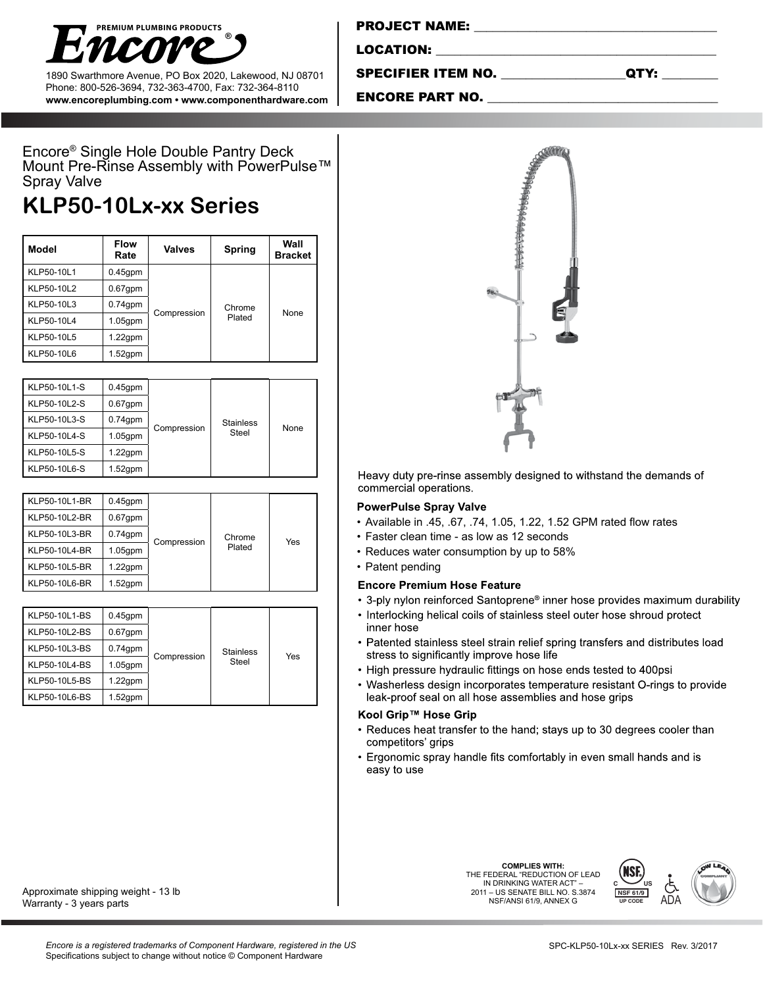

1890 Swarthmore Avenue, PO Box 2020, Lakewood, NJ 08701 Phone: 800-526-3694, 732-363-4700, Fax: 732-364-8110 **www.encoreplumbing.com • www.componenthardware.com**

| <b>PROJECT NAME:</b> |  |
|----------------------|--|
|                      |  |
| <b>LOCATION:</b>     |  |

SPECIFIER ITEM NO. \_\_\_\_\_\_\_\_\_\_\_\_\_\_\_\_\_\_\_\_QTY: \_\_\_\_\_\_\_\_\_

## ENCORE PART NO.

Encore® Single Hole Double Pantry Deck Mount Pre-Rinse Assembly with PowerPulse™ Spray Valve

# **KLP50-10Lx-xx Series**

| Model      | <b>Flow</b><br>Rate | <b>Valves</b> | <b>Spring</b>    | Wall<br><b>Bracket</b> |
|------------|---------------------|---------------|------------------|------------------------|
| KLP50-10L1 | $0.45$ gpm          | Compression   | Chrome<br>Plated | None                   |
| KLP50-10L2 | $0.67$ gpm          |               |                  |                        |
| KLP50-10L3 | $0.74$ gpm          |               |                  |                        |
| KLP50-10L4 | $1.05$ gpm          |               |                  |                        |
| KLP50-10L5 | $1.22$ gpm          |               |                  |                        |
| KLP50-10L6 | $1.52$ gpm          |               |                  |                        |

| KLP50-10L1-S | $0.45$ gpm                |       |                  |  |
|--------------|---------------------------|-------|------------------|--|
| KLP50-10L2-S | $0.67$ gpm                |       |                  |  |
| KLP50-10L3-S | $0.74$ gpm                |       | <b>Stainless</b> |  |
| KLP50-10L4-S | Compression<br>$1.05$ gpm | Steel | None             |  |
| KLP50-10L5-S | $1.22$ gpm                |       |                  |  |
| KLP50-10L6-S | $1.52$ gpm                |       |                  |  |

| KLP50-10L1-BR | $0.45$ gpm |             | Chrome<br>Plated | Yes |
|---------------|------------|-------------|------------------|-----|
| KLP50-10L2-BR | $0.67$ gpm |             |                  |     |
| KLP50-10L3-BR | $0.74$ gpm |             |                  |     |
| KLP50-10L4-BR | $1.05$ gpm | Compression |                  |     |
| KLP50-10L5-BR | $1.22$ gpm |             |                  |     |
| KLP50-10L6-BR | $1.52$ gpm |             |                  |     |

| KLP50-10L1-BS | $0.45$ gpm |             |                  |     |
|---------------|------------|-------------|------------------|-----|
| KLP50-10L2-BS | $0.67$ gpm |             |                  |     |
| KLP50-10L3-BS | $0.74$ gpm |             | <b>Stainless</b> |     |
| KLP50-10L4-BS | $1.05$ gpm | Compression | Steel            | Yes |
| KLP50-10L5-BS | $1.22$ gpm |             |                  |     |
| KLP50-10L6-BS | 1.52qpm    |             |                  |     |



#### **PowerPulse Spray Valve**

- • Available in .45, .67, .74, 1.05, 1.22, 1.52 GPM rated flow rates
- Faster clean time as low as 12 seconds
- Reduces water consumption by up to 58%
- Patent pending

#### **Encore Premium Hose Feature**

- 3-ply nylon reinforced Santoprene® inner hose provides maximum durability
- Interlocking helical coils of stainless steel outer hose shroud protect inner hose
- Patented stainless steel strain relief spring transfers and distributes load stress to significantly improve hose life
- High pressure hydraulic fittings on hose ends tested to 400psi
- Washerless design incorporates temperature resistant O-rings to provide leak-proof seal on all hose assemblies and hose grips

### Kool Grip™ Hose Grip

- Reduces heat transfer to the hand; stays up to 30 degrees cooler than competitors' grips
- Ergonomic spray handle fits comfortably in even small hands and is easy to use

**COMPLIES WITH:** THE FEDERAL "REDUCTION OF LEAD IN DRINKING WATER ACT" 2011 – US SENATE BILL NO. S.3874 NSF/ANSI 61/9, ANNEX G



Approximate shipping weight - 13 lb Warranty - 3 years parts